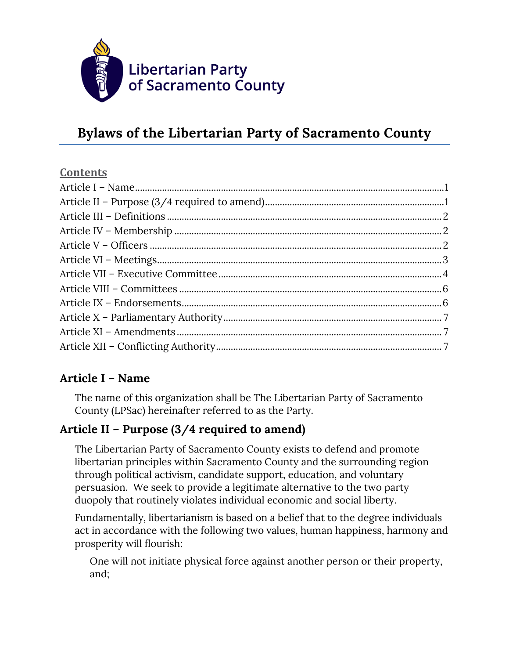

#### **Contents**

## **Article I – Name**

The name of this organization shall be The Libertarian Party of Sacramento County (LPSac) hereinafter referred to as the Party.

## **Article II – Purpose (3/4 required to amend)**

The Libertarian Party of Sacramento County exists to defend and promote libertarian principles within Sacramento County and the surrounding region through political activism, candidate support, education, and voluntary persuasion. We seek to provide a legitimate alternative to the two party duopoly that routinely violates individual economic and social liberty.

Fundamentally, libertarianism is based on a belief that to the degree individuals act in accordance with the following two values, human happiness, harmony and prosperity will flourish:

One will not initiate physical force against another person or their property, and;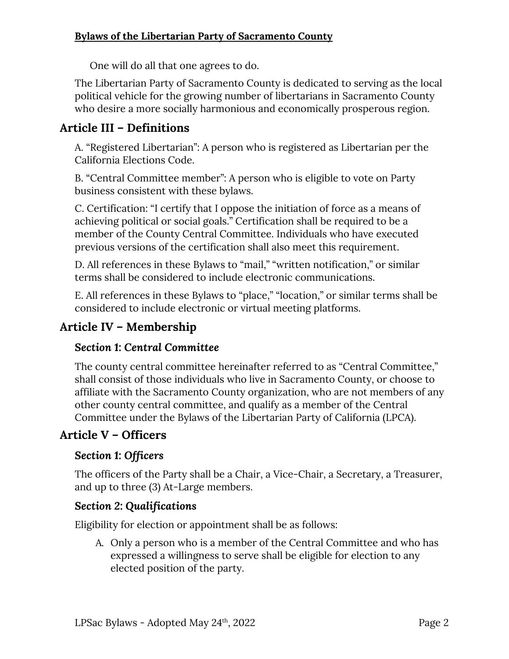One will do all that one agrees to do.

The Libertarian Party of Sacramento County is dedicated to serving as the local political vehicle for the growing number of libertarians in Sacramento County who desire a more socially harmonious and economically prosperous region.

## **Article III – Definitions**

A. "Registered Libertarian": A person who is registered as Libertarian per the California Elections Code.

B. "Central Committee member": A person who is eligible to vote on Party business consistent with these bylaws.

C. Certification: "I certify that I oppose the initiation of force as a means of achieving political or social goals." Certification shall be required to be a member of the County Central Committee. Individuals who have executed previous versions of the certification shall also meet this requirement.

D. All references in these Bylaws to "mail," "written notification," or similar terms shall be considered to include electronic communications.

E. All references in these Bylaws to "place," "location," or similar terms shall be considered to include electronic or virtual meeting platforms.

## **Article IV – Membership**

### *Section 1: Central Committee*

The county central committee hereinafter referred to as "Central Committee," shall consist of those individuals who live in Sacramento County, or choose to affiliate with the Sacramento County organization, who are not members of any other county central committee, and qualify as a member of the Central Committee under the Bylaws of the Libertarian Party of California (LPCA).

## **Article V – Officers**

### *Section 1: Officers*

The officers of the Party shall be a Chair, a Vice-Chair, a Secretary, a Treasurer, and up to three (3) At-Large members.

#### *Section 2: Qualifications*

Eligibility for election or appointment shall be as follows:

A. Only a person who is a member of the Central Committee and who has expressed a willingness to serve shall be eligible for election to any elected position of the party.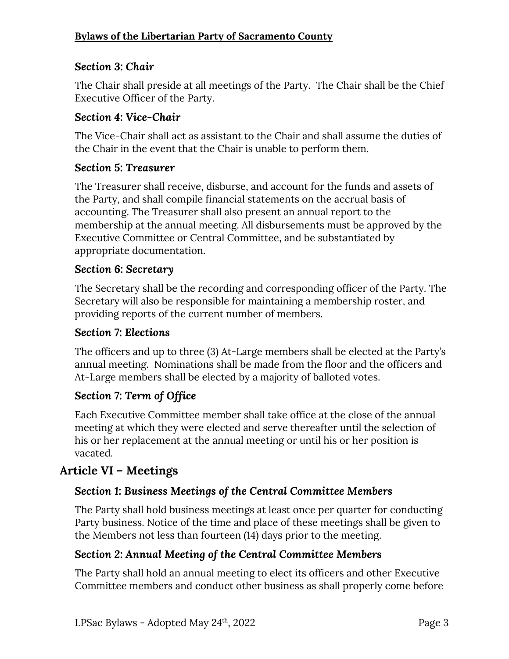## *Section 3: Chair*

The Chair shall preside at all meetings of the Party. The Chair shall be the Chief Executive Officer of the Party.

### *Section 4: Vice-Chair*

The Vice-Chair shall act as assistant to the Chair and shall assume the duties of the Chair in the event that the Chair is unable to perform them.

### *Section 5: Treasurer*

The Treasurer shall receive, disburse, and account for the funds and assets of the Party, and shall compile financial statements on the accrual basis of accounting. The Treasurer shall also present an annual report to the membership at the annual meeting. All disbursements must be approved by the Executive Committee or Central Committee, and be substantiated by appropriate documentation.

### *Section 6: Secretary*

The Secretary shall be the recording and corresponding officer of the Party. The Secretary will also be responsible for maintaining a membership roster, and providing reports of the current number of members.

#### *Section 7: Elections*

The officers and up to three (3) At-Large members shall be elected at the Party's annual meeting. Nominations shall be made from the floor and the officers and At-Large members shall be elected by a majority of balloted votes.

### *Section 7: Term of Office*

Each Executive Committee member shall take office at the close of the annual meeting at which they were elected and serve thereafter until the selection of his or her replacement at the annual meeting or until his or her position is vacated.

## **Article VI – Meetings**

## *Section 1: Business Meetings of the Central Committee Members*

The Party shall hold business meetings at least once per quarter for conducting Party business. Notice of the time and place of these meetings shall be given to the Members not less than fourteen (14) days prior to the meeting.

### *Section 2: Annual Meeting of the Central Committee Members*

The Party shall hold an annual meeting to elect its officers and other Executive Committee members and conduct other business as shall properly come before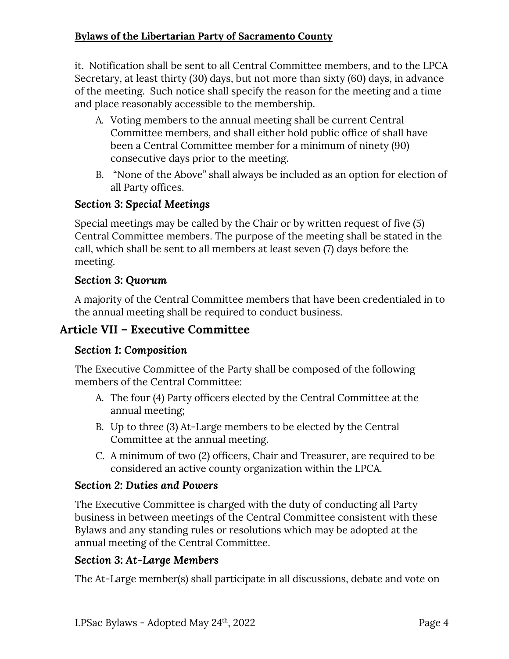it. Notification shall be sent to all Central Committee members, and to the LPCA Secretary, at least thirty (30) days, but not more than sixty (60) days, in advance of the meeting. Such notice shall specify the reason for the meeting and a time and place reasonably accessible to the membership.

- A. Voting members to the annual meeting shall be current Central Committee members, and shall either hold public office of shall have been a Central Committee member for a minimum of ninety (90) consecutive days prior to the meeting.
- B. "None of the Above" shall always be included as an option for election of all Party offices.

## *Section 3: Special Meetings*

Special meetings may be called by the Chair or by written request of five (5) Central Committee members. The purpose of the meeting shall be stated in the call, which shall be sent to all members at least seven (7) days before the meeting.

## *Section 3: Quorum*

A majority of the Central Committee members that have been credentialed in to the annual meeting shall be required to conduct business.

## **Article VII – Executive Committee**

### *Section 1: Composition*

The Executive Committee of the Party shall be composed of the following members of the Central Committee:

- A. The four (4) Party officers elected by the Central Committee at the annual meeting;
- B. Up to three (3) At-Large members to be elected by the Central Committee at the annual meeting.
- C. A minimum of two (2) officers, Chair and Treasurer, are required to be considered an active county organization within the LPCA.

### *Section 2: Duties and Powers*

The Executive Committee is charged with the duty of conducting all Party business in between meetings of the Central Committee consistent with these Bylaws and any standing rules or resolutions which may be adopted at the annual meeting of the Central Committee.

### *Section 3: At-Large Members*

The At-Large member(s) shall participate in all discussions, debate and vote on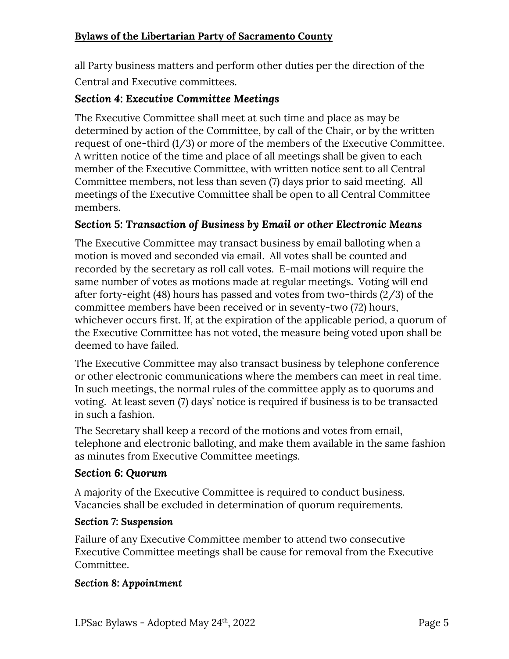all Party business matters and perform other duties per the direction of the Central and Executive committees.

#### *Section 4: Executive Committee Meetings*

The Executive Committee shall meet at such time and place as may be determined by action of the Committee, by call of the Chair, or by the written request of one-third (1/3) or more of the members of the Executive Committee. A written notice of the time and place of all meetings shall be given to each member of the Executive Committee, with written notice sent to all Central Committee members, not less than seven (7) days prior to said meeting. All meetings of the Executive Committee shall be open to all Central Committee members.

#### *Section 5: Transaction of Business by Email or other Electronic Means*

The Executive Committee may transact business by email balloting when a motion is moved and seconded via email. All votes shall be counted and recorded by the secretary as roll call votes. E-mail motions will require the same number of votes as motions made at regular meetings. Voting will end after forty-eight (48) hours has passed and votes from two-thirds (2/3) of the committee members have been received or in seventy-two (72) hours, whichever occurs first. If, at the expiration of the applicable period, a quorum of the Executive Committee has not voted, the measure being voted upon shall be deemed to have failed.

The Executive Committee may also transact business by telephone conference or other electronic communications where the members can meet in real time. In such meetings, the normal rules of the committee apply as to quorums and voting. At least seven (7) days' notice is required if business is to be transacted in such a fashion.

The Secretary shall keep a record of the motions and votes from email, telephone and electronic balloting, and make them available in the same fashion as minutes from Executive Committee meetings.

#### *Section 6: Quorum*

A majority of the Executive Committee is required to conduct business. Vacancies shall be excluded in determination of quorum requirements.

#### *Section 7: Suspension*

Failure of any Executive Committee member to attend two consecutive Executive Committee meetings shall be cause for removal from the Executive Committee.

#### *Section 8: Appointment*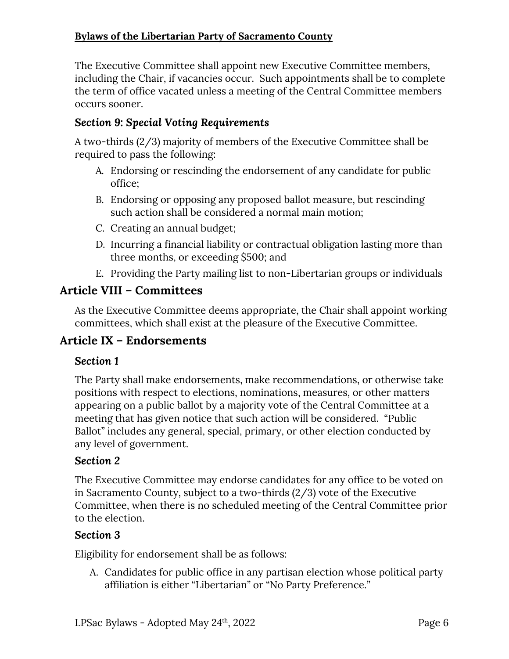The Executive Committee shall appoint new Executive Committee members, including the Chair, if vacancies occur. Such appointments shall be to complete the term of office vacated unless a meeting of the Central Committee members occurs sooner.

### *Section 9: Special Voting Requirements*

A two-thirds (2/3) majority of members of the Executive Committee shall be required to pass the following:

- A. Endorsing or rescinding the endorsement of any candidate for public office;
- B. Endorsing or opposing any proposed ballot measure, but rescinding such action shall be considered a normal main motion;
- C. Creating an annual budget;
- D. Incurring a financial liability or contractual obligation lasting more than three months, or exceeding \$500; and
- E. Providing the Party mailing list to non-Libertarian groups or individuals

#### **Article VIII – Committees**

As the Executive Committee deems appropriate, the Chair shall appoint working committees, which shall exist at the pleasure of the Executive Committee.

### **Article IX – Endorsements**

#### *Section 1*

The Party shall make endorsements, make recommendations, or otherwise take positions with respect to elections, nominations, measures, or other matters appearing on a public ballot by a majority vote of the Central Committee at a meeting that has given notice that such action will be considered. "Public Ballot" includes any general, special, primary, or other election conducted by any level of government.

#### *Section 2*

The Executive Committee may endorse candidates for any office to be voted on in Sacramento County, subject to a two-thirds (2/3) vote of the Executive Committee, when there is no scheduled meeting of the Central Committee prior to the election.

#### *Section 3*

Eligibility for endorsement shall be as follows:

A. Candidates for public office in any partisan election whose political party affiliation is either "Libertarian" or "No Party Preference."